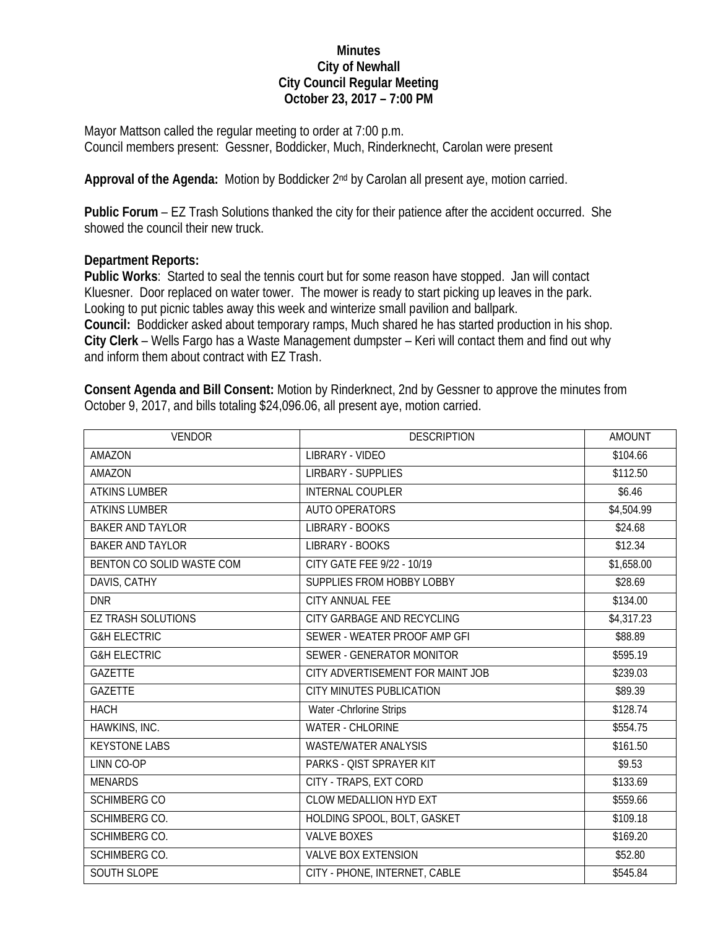## **Minutes City of Newhall City Council Regular Meeting October 23, 2017 – 7:00 PM**

Mayor Mattson called the regular meeting to order at 7:00 p.m. Council members present: Gessner, Boddicker, Much, Rinderknecht, Carolan were present

Approval of the Agenda: Motion by Boddicker 2<sup>nd</sup> by Carolan all present aye, motion carried.

**Public Forum** – EZ Trash Solutions thanked the city for their patience after the accident occurred. She showed the council their new truck.

## **Department Reports:**

**Public Works**: Started to seal the tennis court but for some reason have stopped. Jan will contact Kluesner. Door replaced on water tower. The mower is ready to start picking up leaves in the park. Looking to put picnic tables away this week and winterize small pavilion and ballpark. **Council:** Boddicker asked about temporary ramps, Much shared he has started production in his shop. **City Clerk** – Wells Fargo has a Waste Management dumpster – Keri will contact them and find out why and inform them about contract with EZ Trash.

**Consent Agenda and Bill Consent:** Motion by Rinderknect, 2nd by Gessner to approve the minutes from October 9, 2017, and bills totaling \$24,096.06, all present aye, motion carried.

| <b>VENDOR</b>             | <b>DESCRIPTION</b>               | <b>AMOUNT</b> |
|---------------------------|----------------------------------|---------------|
| AMAZON                    | LIBRARY - VIDEO                  | \$104.66      |
| <b>AMAZON</b>             | <b>LIRBARY - SUPPLIES</b>        | \$112.50      |
| <b>ATKINS LUMBER</b>      | <b>INTERNAL COUPLER</b>          | \$6.46        |
| <b>ATKINS LUMBER</b>      | <b>AUTO OPERATORS</b>            | \$4,504.99    |
| <b>BAKER AND TAYLOR</b>   | LIBRARY - BOOKS                  | \$24.68       |
| <b>BAKER AND TAYLOR</b>   | LIBRARY - BOOKS                  | \$12.34       |
| BENTON CO SOLID WASTE COM | CITY GATE FEE 9/22 - 10/19       | \$1,658.00    |
| DAVIS, CATHY              | SUPPLIES FROM HOBBY LOBBY        | \$28.69       |
| <b>DNR</b>                | <b>CITY ANNUAL FEE</b>           | \$134.00      |
| <b>EZ TRASH SOLUTIONS</b> | CITY GARBAGE AND RECYCLING       | \$4,317.23    |
| <b>G&amp;H ELECTRIC</b>   | SEWER - WEATER PROOF AMP GFI     | \$88.89       |
| <b>G&amp;H ELECTRIC</b>   | SEWER - GENERATOR MONITOR        | \$595.19      |
| <b>GAZETTE</b>            | CITY ADVERTISEMENT FOR MAINT JOB | \$239.03      |
| <b>GAZETTE</b>            | <b>CITY MINUTES PUBLICATION</b>  | \$89.39       |
| <b>HACH</b>               | Water - Chrlorine Strips         | \$128.74      |
| HAWKINS, INC.             | <b>WATER - CHLORINE</b>          | \$554.75      |
| <b>KEYSTONE LABS</b>      | <b>WASTE/WATER ANALYSIS</b>      | \$161.50      |
| LINN CO-OP                | PARKS - QIST SPRAYER KIT         | \$9.53        |
| <b>MENARDS</b>            | CITY - TRAPS, EXT CORD           | \$133.69      |
| <b>SCHIMBERG CO</b>       | <b>CLOW MEDALLION HYD EXT</b>    | \$559.66      |
| SCHIMBERG CO.             | HOLDING SPOOL, BOLT, GASKET      | \$109.18      |
| SCHIMBERG CO.             | <b>VALVE BOXES</b>               | \$169.20      |
| SCHIMBERG CO.             | <b>VALVE BOX EXTENSION</b>       | \$52.80       |
| SOUTH SLOPE               | CITY - PHONE, INTERNET, CABLE    | \$545.84      |